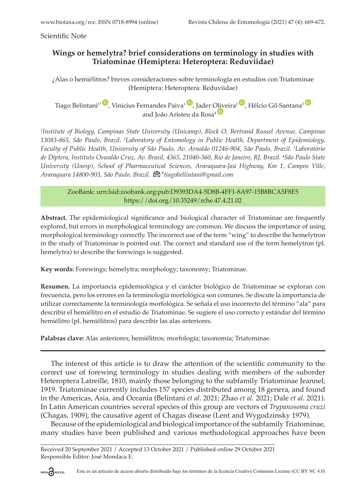Scientific Note

## **Wings or hemelytra? brief considerations on terminology in studies with Triatominae (Hemiptera: Heteroptera: Reduviidae)**

¿Alas o hemiélitros? breves consideraciones sobre terminología en estudios con Triatominae (Hemiptera: Heteroptera: Reduviidae)

Tiago Belintani<sup>1</sup><sup>t</sup>, Vinicius Fernandes Paiva<sup>1</sup>, Jader [Olive](https://orcid.org/0000-0001-6318-3025)ira<sup>2</sup>, Hélcio Gil-Santana<sup>3</sup> and João Aristeu da Rosa<sup>4</sup><sup>D</sup>

*1 Institute of Biology, Campinas State University (Unicamp), Block O, Bertrand Russel Avenue, Campinas 13083-865, São Paulo, Brazil. 2 Laboratory of Entomology in Public Health, Department of Epidemiology, Faculty of Public Health, University of São Paulo, Av. Arnaldo 01246-904, São Paulo, Brazil. 3 Laboratório de Diptera, Instituto Oswaldo Cruz, Av. Brasil, 4365, 21040-360, Rio de Janeiro, RJ, Brazil. 4 São Paulo State University (Unesp), School of Pharmace[utica](mailto:tiagobellintani@gmail.com)l Sciences, Araraquara-Jaú Highway, Km 1, Campos Ville, Araraquara 14800-903, São Paulo, Brazil.* \**tiagobellintani@gmail.com*

ZooBank: urn:lsid:zoobank.org:pub:D9393DA4-5D8B-4FF1-8A97-15B8BCA5F8E5 <https://doi.org/10.35249/rche.47.4.21.02>

**Abstract.** The epidemiological significance and biological character of Triatominae are frequently explored, but errors in morphological terminology are common. We discuss the importance of using morphological terminology correctly. The incorrect use of the term "wing" to describe the hemelytron in the study of Triatominae is pointed out. The correct and standard use of the term hemelytron (pl. hemelytra) to describe the forewings is suggested.

**Key words:** Forewings; hemelytra; morphology; taxonomy; Triatominae.

**Resumen.** La importancia epidemiológica y el carácter biológico de Triatominae se exploran con frecuencia, pero los errores en la terminología morfológica son comunes. Se discute la importancia de utilizar correctamente la terminología morfológica. Se señala el uso incorrecto del término "ala" para describir el hemiélitro en el estudio de Triatominae. Se sugiere el uso correcto y estándar del término hemiélitro (pl. hemiélitros) para describir las alas anteriores.

**Palabras clave:** Alas anteriores; hemiélitros; morfología; taxonomía; Triatominae.

The interest of this article is to draw the attention of the scientific community to the correct use of forewing terminology in studies dealing with members of the suborder Heteroptera Latreille, 1810, mainly those belonging to the subfamily Triatominae Jeannel, 1919. Triatominae currently includes 157 species distributed among 18 genera, and found in the Americas, Asia, and Oceania (Belintani *et al.* 2021; Zhao *et al.* 2021; Dale *et al.* 2021). In Latin American countries several species of this group are vectors of *Trypanosoma cruzi* (Chagas, 1909), the causative agent of Chagas disease (Lent and Wygodzinsky 1979).

Because of the epidemiological and biological importance of the subfamily Triatominae, many studies have been published and various methodological approaches have been

Received 20 September 2021 / Accepted 13 October 2021 / Published online 29 October 2021 Responsible Editor: José Mondaca E.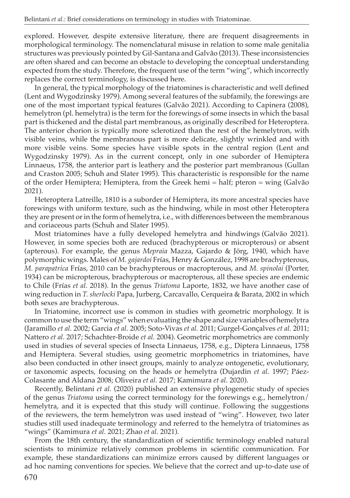explored. However, despite extensive literature, there are frequent disagreements in morphological terminology. The nomenclatural misuse in relation to some male genitalia structures was previously pointed by Gil-Santana and Galvão (2013). These inconsistencies are often shared and can become an obstacle to developing the conceptual understanding expected from the study. Therefore, the frequent use of the term "wing", which incorrectly replaces the correct terminology, is discussed here.

In general, the typical morphology of the triatomines is characteristic and well defined (Lent and Wygodzinsky 1979). Among several features of the subfamily, the forewings are one of the most important typical features (Galvão 2021). According to Capinera (2008), hemelytron (pl. hemelytra) is the term for the forewings of some insects in which the basal part is thickened and the distal part membranous, as originally described for Heteroptera. The anterior chorion is typically more sclerotized than the rest of the hemelytron, with visible veins, while the membranous part is more delicate, slightly wrinkled and with more visible veins. Some species have visible spots in the central region (Lent and Wygodzinsky 1979). As in the current concept, only in one suborder of Hemiptera Linnaeus, 1758, the anterior part is leathery and the posterior part membranous (Gullan and Craston 2005; Schuh and Slater 1995). This characteristic is responsible for the name of the order Hemiptera; Hemiptera, from the Greek hemi = half; pteron = wing (Galvão 2021).

Heteroptera Latreille, 1810 is a suborder of Hemiptera, its more ancestral species have forewings with uniform texture, such as the hindwing, while in most other Heteroptera they are present or in the form of hemelytra, i.e., with differences between the membranous and coriaceous parts (Schuh and Slater 1995).

Most triatomines have a fully developed hemelytra and hindwings (Galvão 2021). However, in some species both are reduced (brachypterous or micropterous) or absent (apterous). For example, the genus *Mepraia* Mazza, Gajardo & Jörg, 1940, which have polymorphic wings. Males of *M. gajardoi* Frías, Henry & González, 1998 are brachypterous, *M. parapatrica* Frías, 2010 can be brachypterous or macropterous, and *M. spinolai* (Porter, 1934) can be micropterous, brachypterous or macropterous, all these species are endemic to Chile (Frías *et al.* 2018). In the genus *Triatoma* Laporte, 1832, we have another case of wing reduction in *T. sherlocki* Papa, Jurberg, Carcavallo, Cerqueira & Barata, 2002 in which both sexes are brachypterous.

In Triatomine, incorrect use is common in studies with geometric morphology. It is common to use the term "wings" when evaluating the shape and size variables of hemelytra (Jaramillo *et al.* 2002; Garcia *et al.* 2005; Soto-Vivas *et al.* 2011; Gurgel-Gonçalves *et al.* 2011; Nattero *et al.* 2017; Schachter-Broide *et al.* 2004). Geometric morphometrics are commonly used in studies of several species of Insecta Linnaeus, 1758, e.g., Diptera Linnaeus, 1758 and Hemiptera. Several studies, using geometric morphometrics in triatomines, have also been conducted in other insect groups, mainly to analyze ontogenetic, evolutionary, or taxonomic aspects, focusing on the heads or hemelytra (Dujardin *et al.* 1997; Páez-Colasante and Aldana 2008; Oliveira *et al.* 2017; Kamimura *et al.* 2020).

Recently, Belintani *et al.* (2020) published an extensive phylogenetic study of species of the genus *Triatoma* using the correct terminology for the forewings e.g., hemelytron/ hemelytra, and it is expected that this study will continue. Following the suggestions of the reviewers, the term hemelytron was used instead of "wing". However, two later studies still used inadequate terminology and referred to the hemelytra of triatomines as "wings" (Kamimura *et al*. 2021; Zhao *et al.* 2021).

From the 18th century, the standardization of scientific terminology enabled natural scientists to minimize relatively common problems in scientific communication. For example, these standardizations can minimize errors caused by different languages or ad hoc naming conventions for species. We believe that the correct and up-to-date use of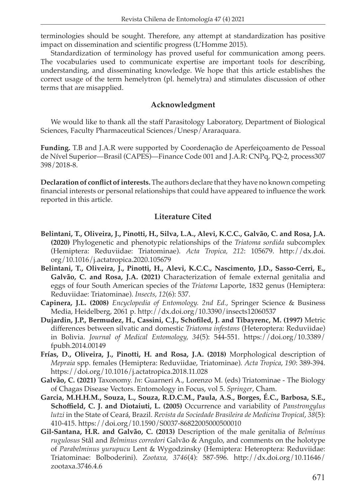terminologies should be sought. Therefore, any attempt at standardization has positive impact on dissemination and scientific progress (L'Homme 2015).

Standardization of terminology has proved useful for communication among peers. The vocabularies used to communicate expertise are important tools for describing, understanding, and disseminating knowledge. We hope that this article establishes the correct usage of the term hemelytron (pl. hemelytra) and stimulates discussion of other terms that are misapplied.

## **Acknowledgment**

We would like to thank all the staff Parasitology Laboratory, Department of Biological Sciences, Faculty Pharmaceutical Sciences/Unesp/Araraquara.

**Funding.** T.B and J.A.R were supported by Coordenação de Aperfeiçoamento de Pessoal de Nível Superior—Brasil (CAPES)—Finance Code 001 and J.A.R: CNPq, PQ-2, process307 398/2018-8.

**Declaration of conflict of interests.** The authors declare that they have no known competing financial interests or personal relationships that could have appeared to influence the work reported in this article.

## **Literature Cited**

- **Belintani, T., Oliveira, J., Pinotti, H., Silva, L.A., Alevi, K.C.C., Galvão, C. and Rosa, J.A. (2020)** Phylogenetic and phenotypic relationships of the *Triatoma sordida* subcomplex (Hemiptera: Reduviidae: Triatominae). *Acta Tropica, 212*: 105679. [http://dx.doi.](http://dx.doi.org/10.1016/j.actatropica.2020.105679) [org/10.1016/j.actatropica.2020.105679](http://dx.doi.org/10.1016/j.actatropica.2020.105679)
- **Belintani, T., Oliveira, J., Pinotti, H., Alevi, K.C.C., Nascimento, J.D., Sasso-Cerri, E., Galvão, C. and Rosa, J.A. (2021)** Characterization of female external genitalia and eggs of four South American species of the *Triatoma* Laporte, 1832 genus (Hemiptera: Reduviidae: Triatominae). *Insects*, *12*(6): 537.
- **Capinera, J.L. (2008)** *Encyclopedia of Entomology. 2nd Ed.*, Springer Science & Business Media, Heidelberg, 2061 p.<http://dx.doi.org/10.3390/insects12060537>
- **Dujardin, J.P., Bermudez, H., Cassini, C.J., Schofiled, J. and Tibayrenc, M. (1997)** Metric differences between silvatic and domestic *Triatoma infestans* (Heteroptera: Reduviidae) in Bolivia. *Journal of Medical Entomology, 34*(5): 544-551. [https://doi.org/10.3389/](https://doi.org/10.3389/fpubh.2014.00149) [fpubh.2014.00149](https://doi.org/10.3389/fpubh.2014.00149)
- **Frías, D., Oliveira, J., Pinotti, H. and Rosa, J.A. (2018)** Morphological description of *Mepraia* spp. females (Hemiptera: Reduviidae, Triatominae). *Acta Tropica*, *190*: 389-394. <https://doi.org/10.1016/j.actatropica.2018.11.028>
- **Galvão, C. (2021)** Taxonomy. *In*: Guarneri A., Lorenzo M. (eds) Triatominae The Biology of Chagas Disease Vectors. Entomology in Focus, vol 5. *Springer*, Cham.
- **Garcia, M.H.H.M., Souza, L., Souza, R.D.C.M., Paula, A.S., Borges, É.C., Barbosa, S.E., Schoffield, C. J. and Diotaiuti, L. (2005)** Occurrence and variability of *Panstrongylus lutzi* in the State of Ceará, Brazil. *Revista da Sociedade Brasileira de Medicina Tropical*, *38*(5): 410-415.<https://doi.org/10.1590/S0037-86822005000500010>
- **Gil-Santana, H.R. and Galvão, C. (2013)** Description of the male genitalia of *Belminus rugulosus* Stål and *Belminus corredori* Galvão & Angulo, and comments on the holotype of *Parabelminus yurupucu* Lent & Wygodzinsky (Hemiptera: Heteroptera: Reduviidae: Triatominae: Bolboderini). *Zootaxa, 3746*(4): 587-596. [http://dx.doi.org/10.11646/](http://dx.doi.org/10.11646/zootaxa.3746.4.6) [zootaxa.3746.4.6](http://dx.doi.org/10.11646/zootaxa.3746.4.6)